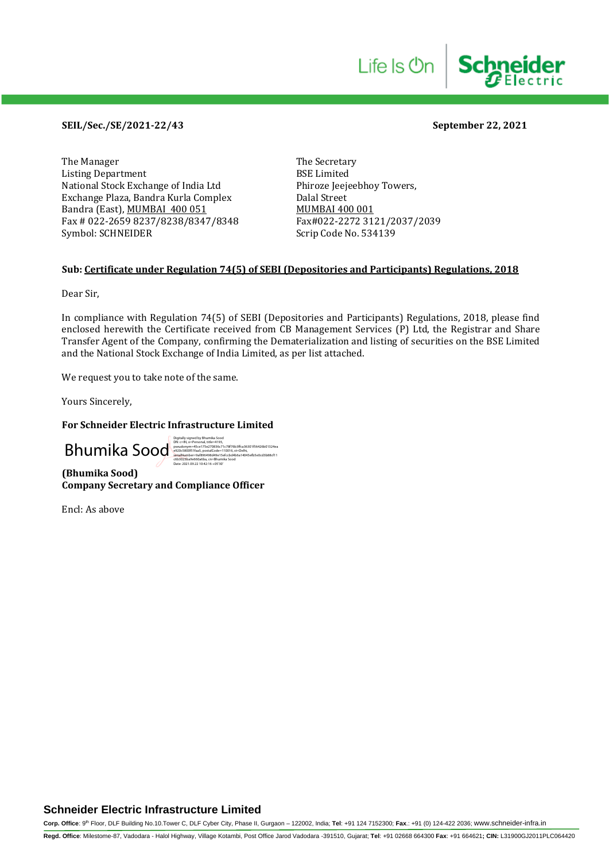## **SEIL/Sec./SE/2021-22/43 September 22, 2021**

The Manager The Secretary<br>Listing Department BSE Limited Listing Department<br>
National Stock Exchange of India Ltd
Bhiroze Ieejeebhov Towers. National Stock Exchange of India Ltd Exchange Plaza, Bandra Kurla Complex Dalal Street Bandra (East), <u>MUMBAI 400 051</u><br>Fax # 022-2659 8237/8238/8347/8348 Fax#022-2272 3121/2037/2039 Fax # 022-2659 8237/8238/8347/8348 Symbol: SCHNEIDER Scrip Code No. 534139

## **Sub: Certificate under Regulation 74(5) of SEBI (Depositories and Participants) Regulations, 2018**

Dear Sir,

In compliance with Regulation 74(5) of SEBI (Depositories and Participants) Regulations, 2018, please find enclosed herewith the Certificate received from CB Management Services (P) Ltd, the Registrar and Share Transfer Agent of the Company, confirming the Dematerialization and listing of securities on the BSE Limited and the National Stock Exchange of India Limited, as per list attached.

We request you to take note of the same.

Yours Sincerely,

#### **For Schneider Electric Infrastructure Limited**

**(Bhumika Sood)** Bhumiles Contract De Contract de Contract de la Contract de la Contract de la Contract de la Contract de la Contract de la Contract de la Contract de la Contract de la Contract de la Contract de la Contract de la Contract Date: 2021.09.22 10:42:16 +05'30'

**Company Secretary and Compliance Officer**

Encl: As above

## **Schneider Electric Infrastructure Limited**

**Corp. Office**: 9th Floor, DLF Building No.10.Tower C, DLF Cyber City, Phase II, Gurgaon – 122002, India; **Tel**: +91 124 7152300; **Fax**.: +91 (0) 124-422 2036; www.schneider-infra.in

**Regd. Office**: Milestome-87, Vadodara - Halol Highway, Village Kotambi, Post Office Jarod Vadodara -391510, Gujarat; **Tel**: +91 02668 664300 **Fax**: +91 664621**; CIN:** L31900GJ2011PLC064420

**Schneider** 

Life Is On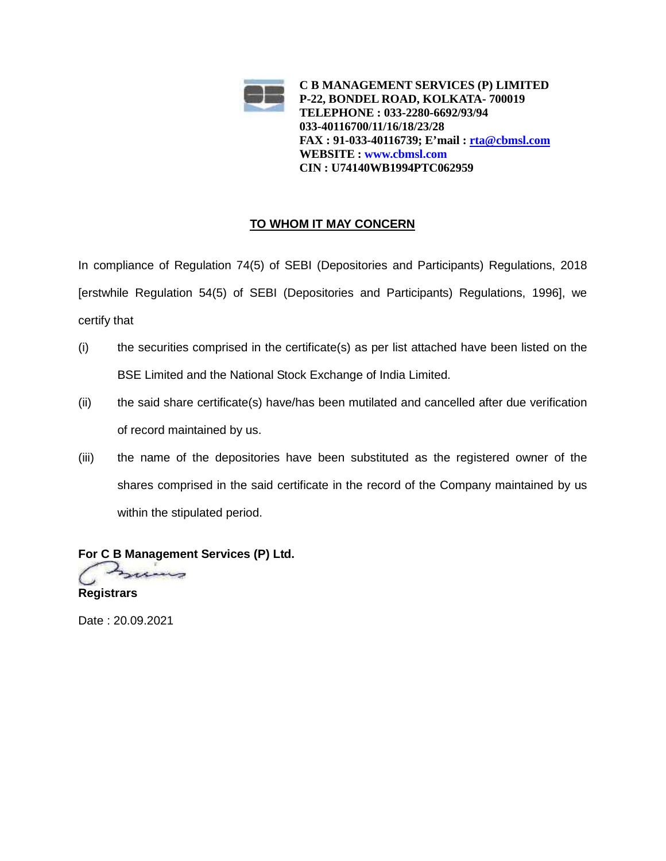

# **TO WHOM IT MAY CONCERN**

In compliance of Regulation 74(5) of SEBI (Depositories and Participants) Regulations, 2018 [erstwhile Regulation 54(5) of SEBI (Depositories and Participants) Regulations, 1996], we certify that

- (i) the securities comprised in the certificate(s) as per list attached have been listed on the BSE Limited and the National Stock Exchange of India Limited.
- (ii) the said share certificate(s) have/has been mutilated and cancelled after due verification of record maintained by us.
- (iii) the name of the depositories have been substituted as the registered owner of the shares comprised in the said certificate in the record of the Company maintained by us within the stipulated period.

**For C B Management Services (P) Ltd. Registrars**

Date : 20.09.2021